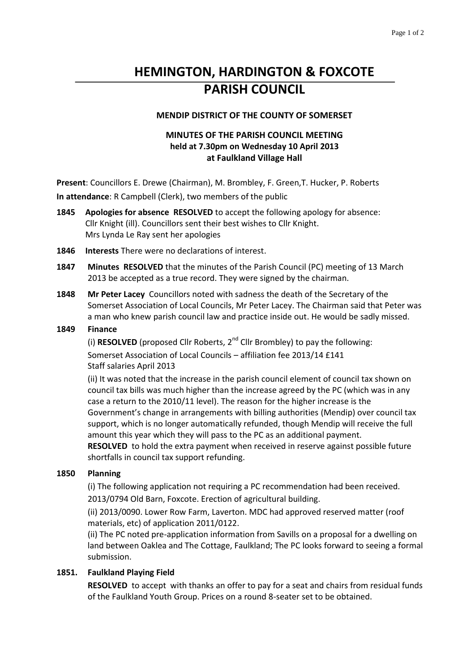# **HEMINGTON, HARDINGTON & FOXCOTE PARISH COUNCIL**

#### **MENDIP DISTRICT OF THE COUNTY OF SOMERSET**

# **MINUTES OF THE PARISH COUNCIL MEETING held at 7.30pm on Wednesday 10 April 2013 at Faulkland Village Hall**

**Present**: Councillors E. Drewe (Chairman), M. Brombley, F. Green,T. Hucker, P. Roberts **In attendance**: R Campbell (Clerk), two members of the public

- **1845 Apologies for absence RESOLVED** to accept the following apology for absence: Cllr Knight (ill). Councillors sent their best wishes to Cllr Knight. Mrs Lynda Le Ray sent her apologies
- **1846 Interests** There were no declarations of interest.
- **1847 Minutes RESOLVED** that the minutes of the Parish Council (PC) meeting of 13 March 2013 be accepted as a true record. They were signed by the chairman.
- **1848 Mr Peter Lacey** Councillors noted with sadness the death of the Secretary of the Somerset Association of Local Councils, Mr Peter Lacey. The Chairman said that Peter was a man who knew parish council law and practice inside out. He would be sadly missed.

#### **1849 Finance**

(i) **RESOLVED** (proposed Cllr Roberts,  $2^{nd}$  Cllr Brombley) to pay the following: Somerset Association of Local Councils – affiliation fee 2013/14 £141 Staff salaries April 2013

(ii) It was noted that the increase in the parish council element of council tax shown on council tax bills was much higher than the increase agreed by the PC (which was in any case a return to the 2010/11 level). The reason for the higher increase is the Government's change in arrangements with billing authorities (Mendip) over council tax support, which is no longer automatically refunded, though Mendip will receive the full amount this year which they will pass to the PC as an additional payment.

**RESOLVED** to hold the extra payment when received in reserve against possible future shortfalls in council tax support refunding.

#### **1850 Planning**

(i) The following application not requiring a PC recommendation had been received. 2013/0794 Old Barn, Foxcote. Erection of agricultural building.

(ii) 2013/0090. Lower Row Farm, Laverton. MDC had approved reserved matter (roof materials, etc) of application 2011/0122.

(ii) The PC noted pre-application information from Savills on a proposal for a dwelling on land between Oaklea and The Cottage, Faulkland; The PC looks forward to seeing a formal submission.

#### **1851. Faulkland Playing Field**

**RESOLVED** to accept with thanks an offer to pay for a seat and chairs from residual funds of the Faulkland Youth Group. Prices on a round 8-seater set to be obtained.